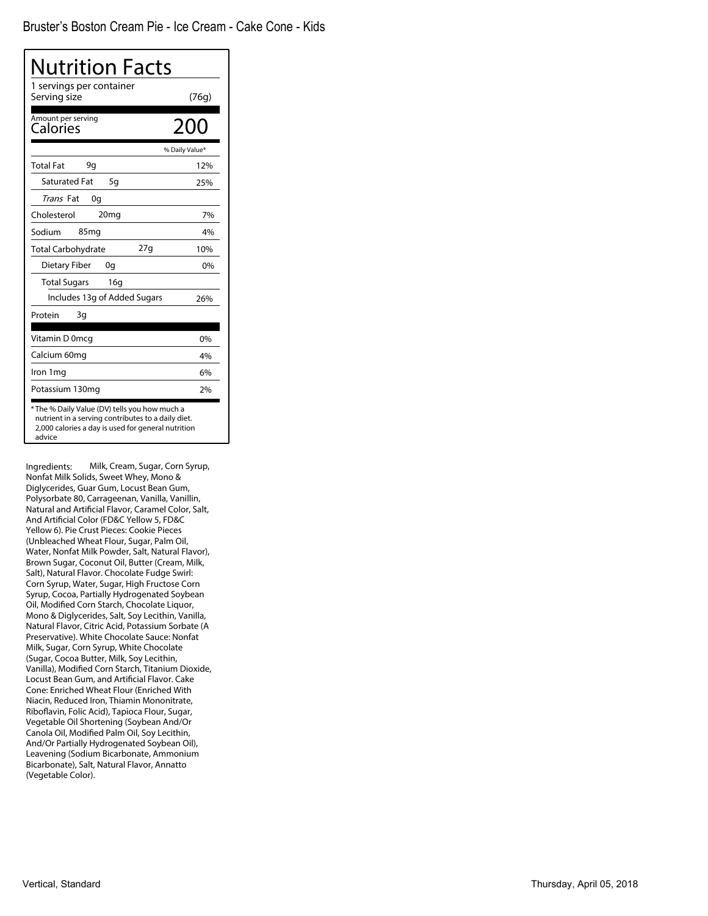| Nutrition Facts                                                                                                                                                     |                |
|---------------------------------------------------------------------------------------------------------------------------------------------------------------------|----------------|
| 1 servings per container<br>Serving size                                                                                                                            | (76g)          |
| Amount per serving<br>Calories                                                                                                                                      | 200            |
|                                                                                                                                                                     | % Daily Value* |
| <b>Total Fat</b><br>9q                                                                                                                                              | 12%            |
| <b>Saturated Fat</b><br>5g                                                                                                                                          | 25%            |
| Trans Fat<br>0g                                                                                                                                                     |                |
| Cholesterol<br>20 <sub>mg</sub>                                                                                                                                     | 7%             |
| Sodium<br>85 <sub>mg</sub>                                                                                                                                          | 4%             |
| 27g<br>Total Carbohydrate                                                                                                                                           | 10%            |
| Dietary Fiber<br>0q                                                                                                                                                 | 0%             |
| <b>Total Sugars</b><br>16g                                                                                                                                          |                |
| Includes 13g of Added Sugars                                                                                                                                        | 26%            |
| Protein<br>3g                                                                                                                                                       |                |
| Vitamin D 0mcq                                                                                                                                                      | 0%             |
| Calcium 60mg                                                                                                                                                        | 4%             |
| Iron 1mg                                                                                                                                                            | 6%             |
| Potassium 130mg                                                                                                                                                     | 2%             |
| * The % Daily Value (DV) tells you how much a<br>nutrient in a serving contributes to a daily diet.<br>2,000 calories a day is used for general nutrition<br>advice |                |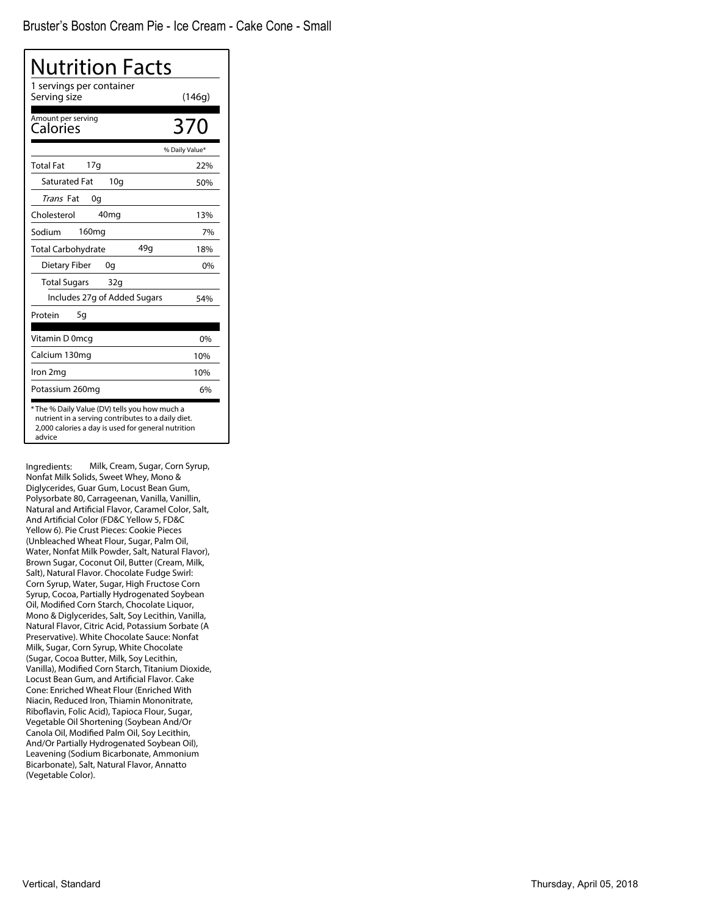| Nutrition Facts                                                                                                                                                     |                |
|---------------------------------------------------------------------------------------------------------------------------------------------------------------------|----------------|
| 1 servings per container<br>Serving size                                                                                                                            | (146g)         |
| Amount per serving<br>Calories                                                                                                                                      | 370            |
|                                                                                                                                                                     | % Daily Value* |
| 17q<br><b>Total Fat</b>                                                                                                                                             | 22%            |
| <b>Saturated Fat</b><br>10q                                                                                                                                         | 50%            |
| Trans Fat<br>0g                                                                                                                                                     |                |
| 40 <sub>mg</sub><br>Cholesterol                                                                                                                                     | 13%            |
| 160 <sub>mg</sub><br>Sodium                                                                                                                                         | 7%             |
| 49g<br><b>Total Carbohydrate</b>                                                                                                                                    | 18%            |
| Dietary Fiber<br>0g                                                                                                                                                 | 0%             |
| <b>Total Sugars</b><br>32g                                                                                                                                          |                |
| Includes 27g of Added Sugars                                                                                                                                        | 54%            |
| 5g<br>Protein                                                                                                                                                       |                |
| Vitamin D 0mcg                                                                                                                                                      | 0%             |
| Calcium 130mg                                                                                                                                                       | 10%            |
| Iron 2mg                                                                                                                                                            | 10%            |
| Potassium 260mg                                                                                                                                                     | 6%             |
| * The % Daily Value (DV) tells you how much a<br>nutrient in a serving contributes to a daily diet.<br>2,000 calories a day is used for general nutrition<br>advice |                |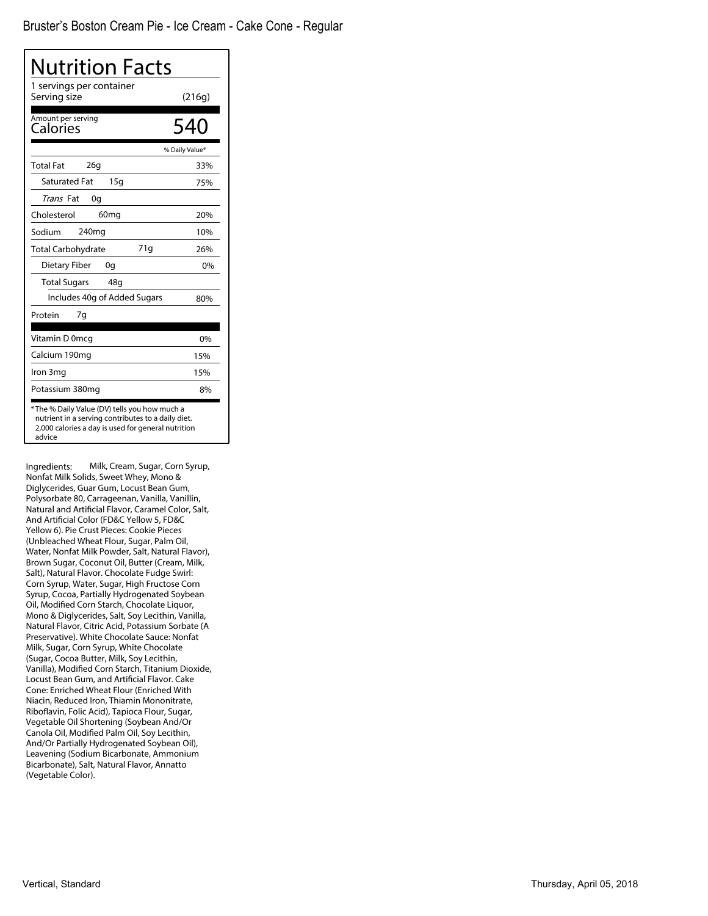| Nutrition Facts<br>1 servings per container                                                                                                                        |                |
|--------------------------------------------------------------------------------------------------------------------------------------------------------------------|----------------|
| Serving size                                                                                                                                                       | (216g)         |
| Amount per serving<br>Calories                                                                                                                                     | 540            |
|                                                                                                                                                                    | % Daily Value* |
| 26q<br><b>Total Fat</b>                                                                                                                                            | 33%            |
| <b>Saturated Fat</b><br>15q                                                                                                                                        | 75%            |
| Trans Fat<br>0g                                                                                                                                                    |                |
| Cholesterol<br>60 <sub>mg</sub>                                                                                                                                    | 20%            |
| 240 <sub>mg</sub><br>Sodium                                                                                                                                        | 10%            |
| 71g<br><b>Total Carbohydrate</b>                                                                                                                                   | 26%            |
| <b>Dietary Fiber</b><br>0g                                                                                                                                         | 0%             |
| <b>Total Sugars</b><br>48g                                                                                                                                         |                |
| Includes 40g of Added Sugars                                                                                                                                       | 80%            |
| Protein<br>7g                                                                                                                                                      |                |
| Vitamin D 0mcq                                                                                                                                                     | 0%             |
| Calcium 190mg                                                                                                                                                      | 15%            |
| Iron 3mg                                                                                                                                                           | 15%            |
| Potassium 380mg                                                                                                                                                    | 8%             |
| *The % Daily Value (DV) tells you how much a<br>nutrient in a serving contributes to a daily diet.<br>2,000 calories a day is used for general nutrition<br>advice |                |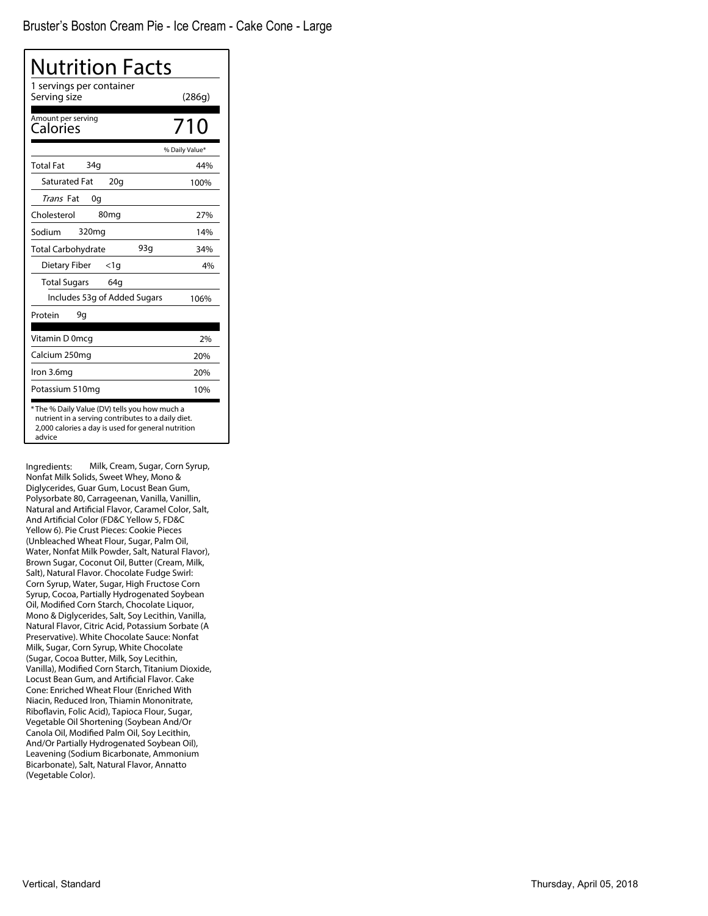| Nutrition Facts                                                                                                                                                    |                |
|--------------------------------------------------------------------------------------------------------------------------------------------------------------------|----------------|
| 1 servings per container<br>Serving size                                                                                                                           | (286g)         |
| Amount per serving<br>Calories                                                                                                                                     | 710            |
|                                                                                                                                                                    | % Daily Value* |
| 34q<br><b>Total Fat</b>                                                                                                                                            | 44%            |
| <b>Saturated Fat</b><br>20q                                                                                                                                        | 100%           |
| <i>Trans</i> Fat<br>0g                                                                                                                                             |                |
| Cholesterol<br>80 <sub>mg</sub>                                                                                                                                    | 27%            |
| Sodium<br>320mg                                                                                                                                                    | 14%            |
| 93a<br><b>Total Carbohydrate</b>                                                                                                                                   | 34%            |
| Dietary Fiber<br><1q                                                                                                                                               | 4%             |
| <b>Total Sugars</b><br>64q                                                                                                                                         |                |
| Includes 53g of Added Sugars                                                                                                                                       | 106%           |
| Protein<br>9g                                                                                                                                                      |                |
| Vitamin D 0mcg                                                                                                                                                     | 2%             |
| Calcium 250mg                                                                                                                                                      | 20%            |
| Iron 3.6mg                                                                                                                                                         | 20%            |
| Potassium 510mg                                                                                                                                                    | 10%            |
| *The % Daily Value (DV) tells you how much a<br>nutrient in a serving contributes to a daily diet.<br>2,000 calories a day is used for general nutrition<br>advice |                |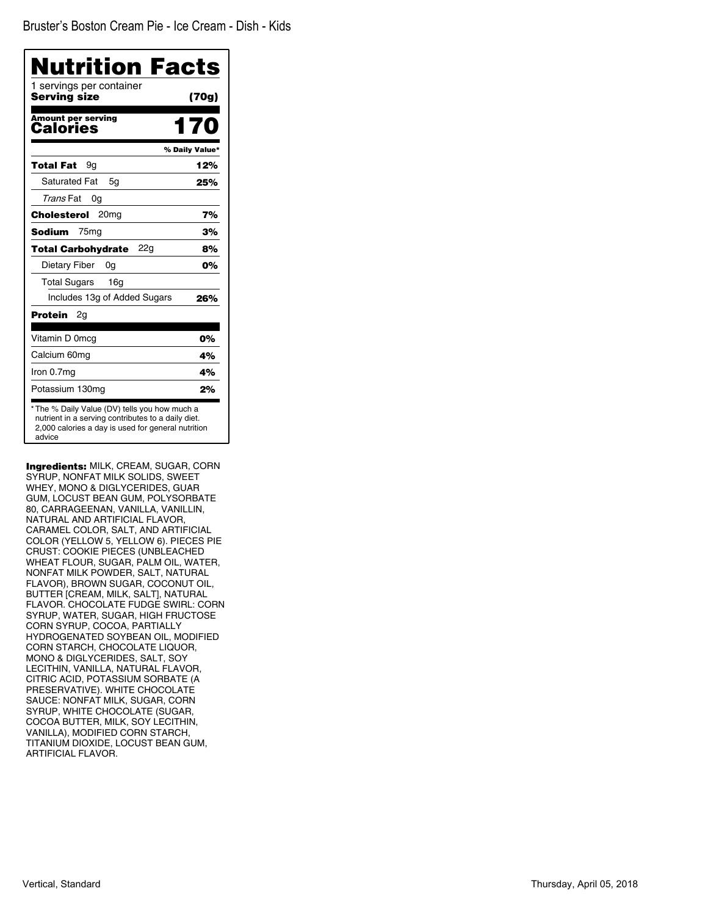| <b>Nutrition Facts</b><br>1 servings per container |                |
|----------------------------------------------------|----------------|
| <b>Serving size</b>                                | (70g)          |
| <b>Amount per serving</b><br>Calories              | 170            |
|                                                    | % Daily Value* |
| Total Fat<br>9a                                    | 12%            |
| <b>Saturated Fat</b><br>5q                         | 25%            |
| Trans Fat<br>0g                                    |                |
| Cholesterol<br>20 <sub>mg</sub>                    | 7%             |
| Sodium<br>75 <sub>mg</sub>                         | 3%             |
| 22g<br><b>Total Carbohydrate</b>                   | 8%             |
| Dietary Fiber<br>0g                                | 0%             |
| <b>Total Sugars</b><br>16a                         |                |
| Includes 13g of Added Sugars                       | 26%            |
| Protein<br>2g                                      |                |
| Vitamin D 0mcq                                     | 0%             |
| Calcium 60mg                                       | 4%             |
| Iron 0.7mg                                         | 4%             |
| Potassium 130mg                                    | 2%             |

Ingredients: MILK, CREAM, SUGAR, CORN SYRUP, NONFAT MILK SOLIDS, SWEET WHEY, MONO & DIGLYCERIDES, GUAR GUM, LOCUST BEAN GUM, POLYSORBATE 80, CARRAGEENAN, VANILLA, VANILLIN, NATURAL AND ARTIFICIAL FLAVOR, CARAMEL COLOR, SALT, AND ARTIFICIAL COLOR (YELLOW 5, YELLOW 6). PIECES PIE CRUST: COOKIE PIECES (UNBLEACHED WHEAT FLOUR, SUGAR, PALM OIL, WATER, NONFAT MILK POWDER, SALT, NATURAL FLAVOR), BROWN SUGAR, COCONUT OIL, BUTTER [CREAM, MILK, SALT], NATURAL FLAVOR. CHOCOLATE FUDGE SWIRL: CORN SYRUP, WATER, SUGAR, HIGH FRUCTOSE CORN SYRUP, COCOA, PARTIALLY HYDROGENATED SOYBEAN OIL, MODIFIED CORN STARCH, CHOCOLATE LIQUOR, MONO & DIGLYCERIDES, SALT, SOY LECITHIN, VANILLA, NATURAL FLAVOR, CITRIC ACID, POTASSIUM SORBATE (A PRESERVATIVE). WHITE CHOCOLATE SAUCE: NONFAT MILK, SUGAR, CORN SYRUP, WHITE CHOCOLATE (SUGAR, COCOA BUTTER, MILK, SOY LECITHIN, VANILLA), MODIFIED CORN STARCH, TITANIUM DIOXIDE, LOCUST BEAN GUM, ARTIFICIAL FLAVOR.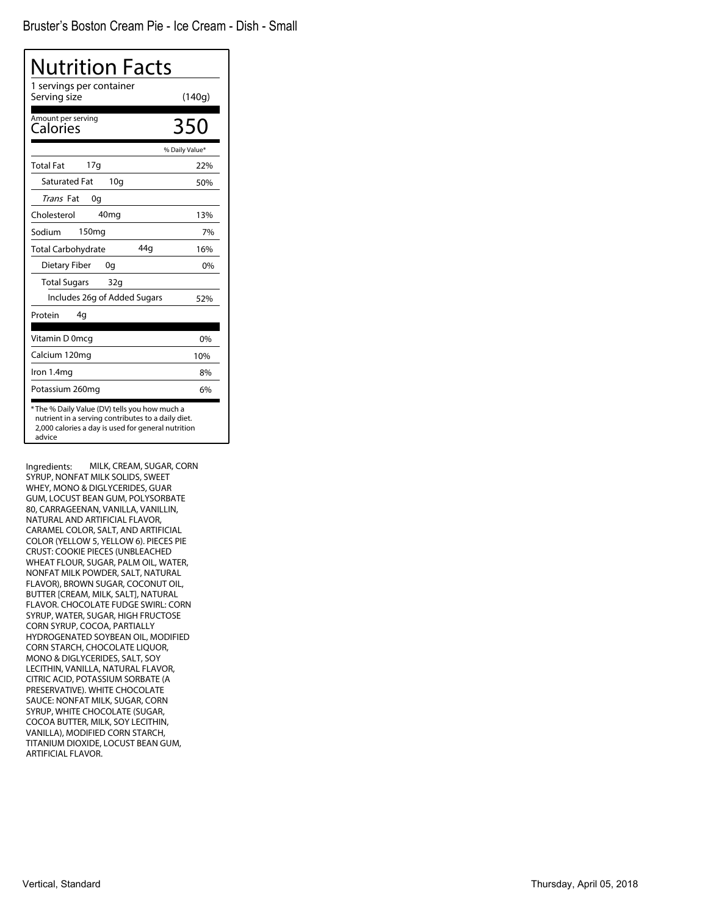| Nutrition Facts                                                                                                                                                     |                |
|---------------------------------------------------------------------------------------------------------------------------------------------------------------------|----------------|
| 1 servings per container<br>Serving size                                                                                                                            | (140g)         |
| Amount per serving<br><b>Calories</b>                                                                                                                               | 350            |
|                                                                                                                                                                     | % Daily Value* |
| 17q<br><b>Total Fat</b>                                                                                                                                             | 22%            |
| <b>Saturated Fat</b><br>10q                                                                                                                                         | 50%            |
| Trans Fat<br>0q                                                                                                                                                     |                |
| Cholesterol<br>40 <sub>mg</sub>                                                                                                                                     | 13%            |
| Sodium<br>150 <sub>mg</sub>                                                                                                                                         | 7%             |
| 44q<br><b>Total Carbohydrate</b>                                                                                                                                    | 16%            |
| Dietary Fiber<br>0q                                                                                                                                                 | $0\%$          |
| <b>Total Sugars</b><br>32q                                                                                                                                          |                |
| Includes 26g of Added Sugars                                                                                                                                        | 52%            |
| Protein<br>4q                                                                                                                                                       |                |
| Vitamin D 0mcg                                                                                                                                                      | 0%             |
| Calcium 120mg                                                                                                                                                       | 10%            |
| Iron 1.4mg                                                                                                                                                          | 8%             |
| Potassium 260mg                                                                                                                                                     | 6%             |
| * The % Daily Value (DV) tells you how much a<br>nutrient in a serving contributes to a daily diet.<br>2,000 calories a day is used for general nutrition<br>advice |                |

Ingredients: MILK, CREAM, SUGAR, CORN SYRUP, NONFAT MILK SOLIDS, SWEET WHEY, MONO & DIGLYCERIDES, GUAR GUM, LOCUST BEAN GUM, POLYSORBATE 80, CARRAGEENAN, VANILLA, VANILLIN, NATURAL AND ARTIFICIAL FLAVOR, CARAMEL COLOR, SALT, AND ARTIFICIAL COLOR (YELLOW 5, YELLOW 6). PIECES PIE CRUST: COOKIE PIECES (UNBLEACHED WHEAT FLOUR, SUGAR, PALM OIL, WATER, NONFAT MILK POWDER, SALT, NATURAL FLAVOR), BROWN SUGAR, COCONUT OIL, BUTTER [CREAM, MILK, SALT], NATURAL FLAVOR. CHOCOLATE FUDGE SWIRL: CORN SYRUP, WATER, SUGAR, HIGH FRUCTOSE CORN SYRUP, COCOA, PARTIALLY HYDROGENATED SOYBEAN OIL, MODIFIED CORN STARCH, CHOCOLATE LIQUOR, MONO & DIGLYCERIDES, SALT, SOY LECITHIN, VANILLA, NATURAL FLAVOR, CITRIC ACID, POTASSIUM SORBATE (A PRESERVATIVE). WHITE CHOCOLATE SAUCE: NONFAT MILK, SUGAR, CORN SYRUP, WHITE CHOCOLATE (SUGAR, COCOA BUTTER, MILK, SOY LECITHIN, VANILLA), MODIFIED CORN STARCH, TITANIUM DIOXIDE, LOCUST BEAN GUM, ARTIFICIAL FLAVOR.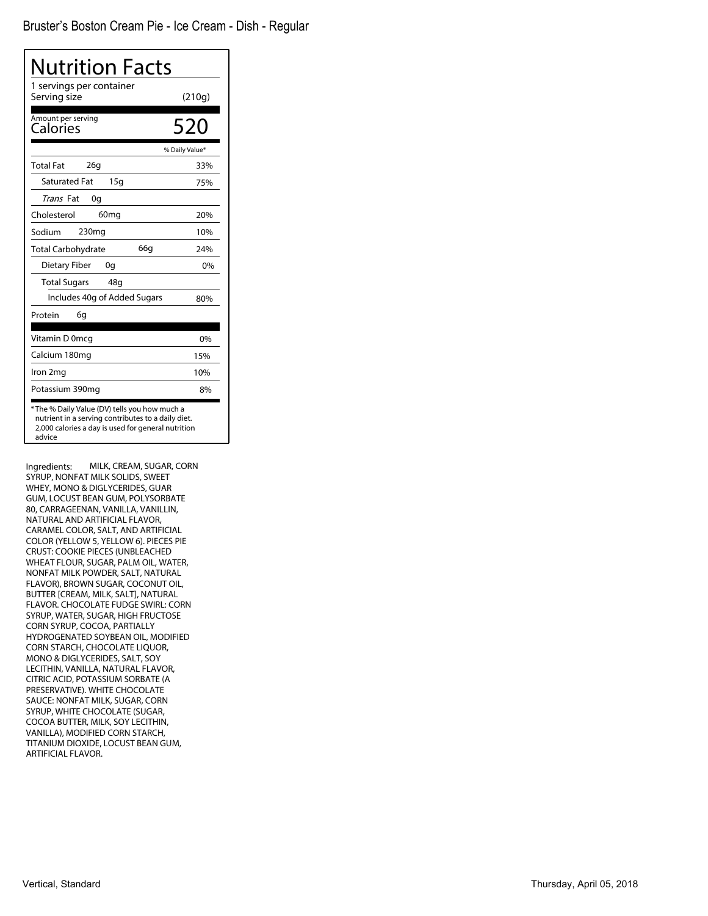| Nutrition Facts                                                                                                                                                    |                |
|--------------------------------------------------------------------------------------------------------------------------------------------------------------------|----------------|
| 1 servings per container<br>Serving size                                                                                                                           | (210g)         |
| Amount per serving<br>Calories                                                                                                                                     | 520            |
|                                                                                                                                                                    | % Daily Value* |
| 26q<br><b>Total Fat</b>                                                                                                                                            | 33%            |
| <b>Saturated Fat</b><br>15q                                                                                                                                        | 75%            |
| Trans Fat<br>0g                                                                                                                                                    |                |
| Cholesterol<br>60 <sub>mg</sub>                                                                                                                                    | 20%            |
| Sodium<br>230 <sub>mg</sub>                                                                                                                                        | 10%            |
| 66q<br><b>Total Carbohydrate</b>                                                                                                                                   | 24%            |
| Dietary Fiber<br>0g                                                                                                                                                | $0\%$          |
| <b>Total Sugars</b><br>48g                                                                                                                                         |                |
| Includes 40g of Added Sugars                                                                                                                                       | 80%            |
| Protein<br>6g                                                                                                                                                      |                |
| Vitamin D 0mcq                                                                                                                                                     | 0%             |
| Calcium 180mg                                                                                                                                                      | 15%            |
| Iron 2mg                                                                                                                                                           | 10%            |
| Potassium 390mg                                                                                                                                                    | 8%             |
| *The % Daily Value (DV) tells you how much a<br>nutrient in a serving contributes to a daily diet.<br>2,000 calories a day is used for general nutrition<br>advice |                |

Ingredients: MILK, CREAM, SUGAR, CORN SYRUP, NONFAT MILK SOLIDS, SWEET WHEY, MONO & DIGLYCERIDES, GUAR GUM, LOCUST BEAN GUM, POLYSORBATE 80, CARRAGEENAN, VANILLA, VANILLIN, NATURAL AND ARTIFICIAL FLAVOR, CARAMEL COLOR, SALT, AND ARTIFICIAL COLOR (YELLOW 5, YELLOW 6). PIECES PIE CRUST: COOKIE PIECES (UNBLEACHED WHEAT FLOUR, SUGAR, PALM OIL, WATER, NONFAT MILK POWDER, SALT, NATURAL FLAVOR), BROWN SUGAR, COCONUT OIL, BUTTER [CREAM, MILK, SALT], NATURAL FLAVOR. CHOCOLATE FUDGE SWIRL: CORN SYRUP, WATER, SUGAR, HIGH FRUCTOSE CORN SYRUP, COCOA, PARTIALLY HYDROGENATED SOYBEAN OIL, MODIFIED CORN STARCH, CHOCOLATE LIQUOR, MONO & DIGLYCERIDES, SALT, SOY LECITHIN, VANILLA, NATURAL FLAVOR, CITRIC ACID, POTASSIUM SORBATE (A PRESERVATIVE). WHITE CHOCOLATE SAUCE: NONFAT MILK, SUGAR, CORN SYRUP, WHITE CHOCOLATE (SUGAR, COCOA BUTTER, MILK, SOY LECITHIN, VANILLA), MODIFIED CORN STARCH, TITANIUM DIOXIDE, LOCUST BEAN GUM, ARTIFICIAL FLAVOR.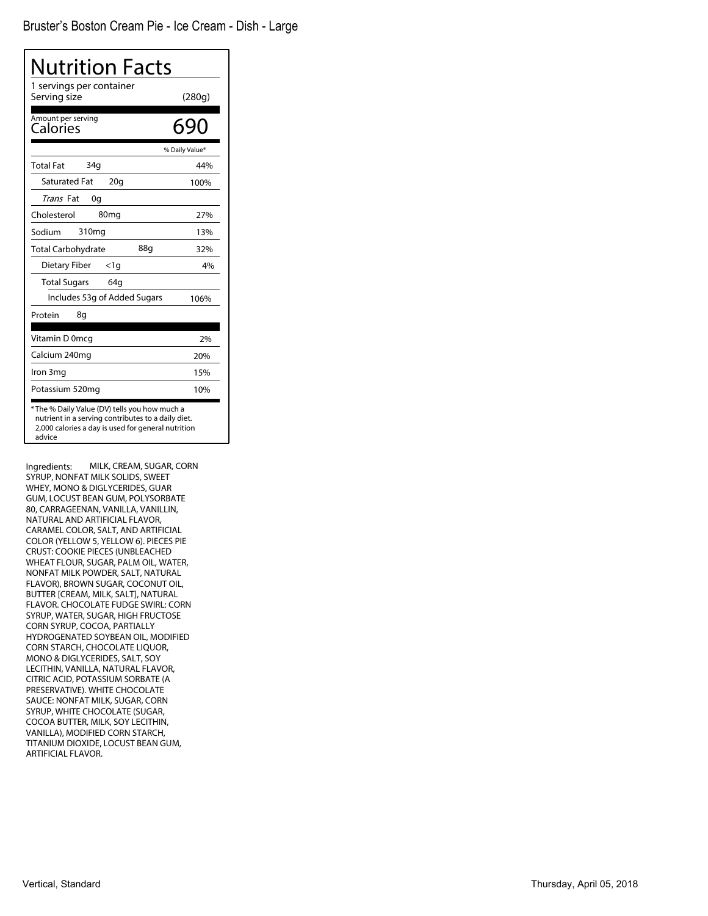| <b>Nutrition Facts</b>                                                                                                                                              |                |
|---------------------------------------------------------------------------------------------------------------------------------------------------------------------|----------------|
| 1 servings per container<br>Serving size                                                                                                                            | (280g)         |
| Amount per serving<br>Calories                                                                                                                                      | 690            |
|                                                                                                                                                                     | % Daily Value* |
| 34 <sub>q</sub><br><b>Total Fat</b>                                                                                                                                 | 44%            |
| <b>Saturated Fat</b><br>20q                                                                                                                                         | 100%           |
| <i>Trans</i> Fat<br>0g                                                                                                                                              |                |
| Cholesterol<br>80 <sub>mg</sub>                                                                                                                                     | 27%            |
| Sodium<br>310 <sub>mg</sub>                                                                                                                                         | 13%            |
| 88a<br><b>Total Carbohydrate</b>                                                                                                                                    | 32%            |
| Dietary Fiber<br>$<$ 1q                                                                                                                                             | 4%             |
| <b>Total Sugars</b><br>64g                                                                                                                                          |                |
| Includes 53g of Added Sugars                                                                                                                                        | 106%           |
| Protein<br>8q                                                                                                                                                       |                |
| Vitamin D 0mcq                                                                                                                                                      | 2%             |
| Calcium 240mg                                                                                                                                                       | 20%            |
| Iron 3mg                                                                                                                                                            | 15%            |
| Potassium 520mg                                                                                                                                                     | 10%            |
| * The % Daily Value (DV) tells you how much a<br>nutrient in a serving contributes to a daily diet.<br>2,000 calories a day is used for general nutrition<br>advice |                |

Ingredients: MILK, CREAM, SUGAR, CORN SYRUP, NONFAT MILK SOLIDS, SWEET WHEY, MONO & DIGLYCERIDES, GUAR GUM, LOCUST BEAN GUM, POLYSORBATE 80, CARRAGEENAN, VANILLA, VANILLIN, NATURAL AND ARTIFICIAL FLAVOR, CARAMEL COLOR, SALT, AND ARTIFICIAL COLOR (YELLOW 5, YELLOW 6). PIECES PIE CRUST: COOKIE PIECES (UNBLEACHED WHEAT FLOUR, SUGAR, PALM OIL, WATER, NONFAT MILK POWDER, SALT, NATURAL FLAVOR), BROWN SUGAR, COCONUT OIL, BUTTER [CREAM, MILK, SALT], NATURAL FLAVOR. CHOCOLATE FUDGE SWIRL: CORN SYRUP, WATER, SUGAR, HIGH FRUCTOSE CORN SYRUP, COCOA, PARTIALLY HYDROGENATED SOYBEAN OIL, MODIFIED CORN STARCH, CHOCOLATE LIQUOR, MONO & DIGLYCERIDES, SALT, SOY LECITHIN, VANILLA, NATURAL FLAVOR, CITRIC ACID, POTASSIUM SORBATE (A PRESERVATIVE). WHITE CHOCOLATE SAUCE: NONFAT MILK, SUGAR, CORN SYRUP, WHITE CHOCOLATE (SUGAR, COCOA BUTTER, MILK, SOY LECITHIN, VANILLA), MODIFIED CORN STARCH, TITANIUM DIOXIDE, LOCUST BEAN GUM, ARTIFICIAL FLAVOR.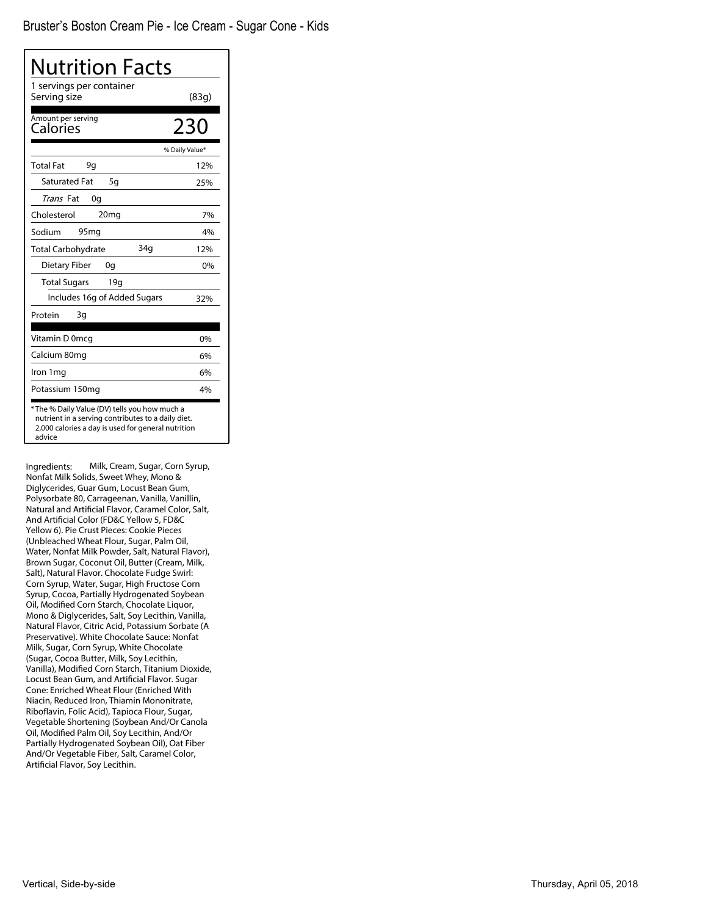| <b>Nutrition Facts</b>                                                                                                                                             |                |
|--------------------------------------------------------------------------------------------------------------------------------------------------------------------|----------------|
| 1 servings per container<br>Serving size                                                                                                                           | (83q)          |
| Amount per serving<br>Calories                                                                                                                                     | 230            |
|                                                                                                                                                                    | % Daily Value* |
| <b>Total Fat</b><br>9q                                                                                                                                             | 12%            |
| <b>Saturated Fat</b><br>5g                                                                                                                                         | 25%            |
| <i>Trans</i> Fat<br>0g                                                                                                                                             |                |
| Cholesterol<br>20 <sub>mg</sub>                                                                                                                                    | 7%             |
| 95 <sub>mq</sub><br>Sodium                                                                                                                                         | 4%             |
| 34 <sub>q</sub><br><b>Total Carbohydrate</b>                                                                                                                       | 12%            |
| Dietary Fiber<br>0q                                                                                                                                                | 0%             |
| <b>Total Sugars</b><br>19q                                                                                                                                         |                |
| Includes 16g of Added Sugars                                                                                                                                       | 32%            |
| Protein<br>3g                                                                                                                                                      |                |
| Vitamin D 0mcg                                                                                                                                                     | $0\%$          |
| Calcium 80mg                                                                                                                                                       | 6%             |
| Iron 1mg                                                                                                                                                           | 6%             |
| Potassium 150mg                                                                                                                                                    | 4%             |
| *The % Daily Value (DV) tells you how much a<br>nutrient in a serving contributes to a daily diet.<br>2,000 calories a day is used for general nutrition<br>advice |                |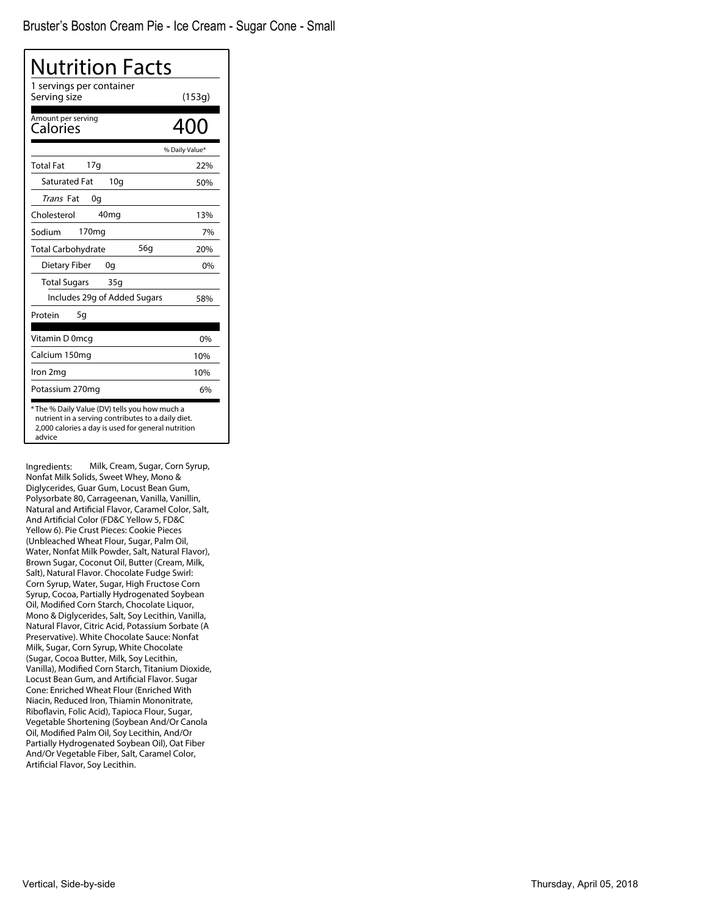| Nutrition Facts<br>1 servings per container<br>Serving size |                |
|-------------------------------------------------------------|----------------|
|                                                             | (153g)         |
| Amount per serving<br>Calories                              | 400            |
|                                                             | % Daily Value* |
| 17q<br><b>Total Fat</b>                                     | 22%            |
| <b>Saturated Fat</b><br>10 <sub>g</sub>                     | 50%            |
| Trans Fat<br>0g                                             |                |
| Cholesterol<br>40 <sub>mg</sub>                             | 13%            |
| 170 <sub>mg</sub><br>Sodium                                 | 7%             |
| 56g<br><b>Total Carbohydrate</b>                            | 20%            |
| <b>Dietary Fiber</b><br>0g                                  | 0%             |
| <b>Total Sugars</b><br>35g                                  |                |
| Includes 29g of Added Sugars                                | 58%            |
| Protein<br>5g                                               |                |
| Vitamin D 0mcq                                              | 0%             |
| Calcium 150mg                                               | 10%            |
| Iron 2mg                                                    | 10%            |
| Potassium 270mg                                             | 6%             |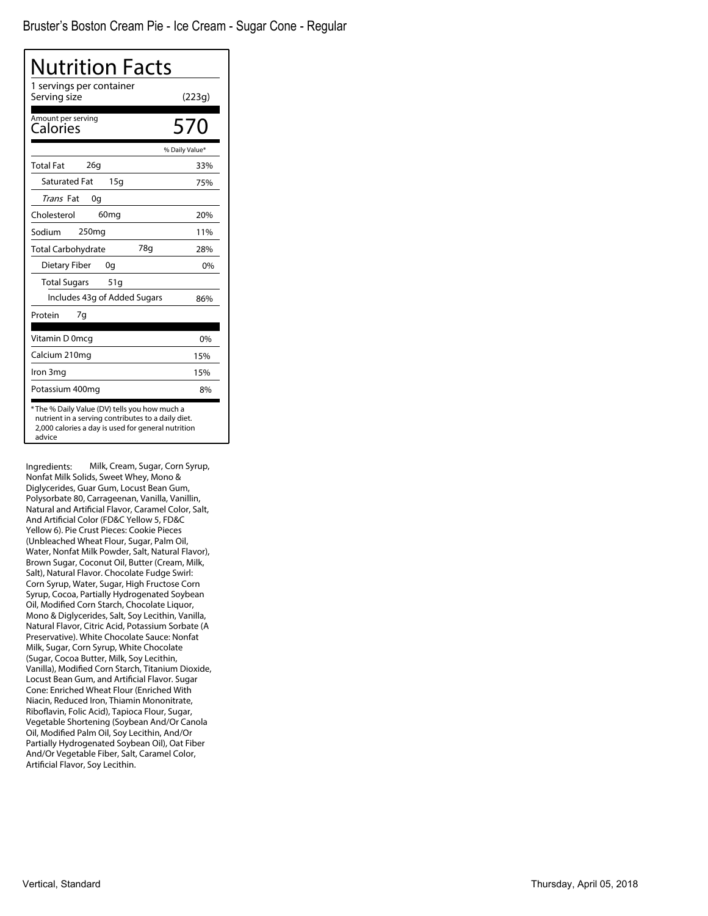| Nutrition Facts                                                                                                                                                     |                |
|---------------------------------------------------------------------------------------------------------------------------------------------------------------------|----------------|
| 1 servings per container<br>Serving size                                                                                                                            | (223g)         |
| Amount per serving<br>Calories                                                                                                                                      | 570            |
|                                                                                                                                                                     | % Daily Value* |
| 26q<br><b>Total Fat</b>                                                                                                                                             | 33%            |
| <b>Saturated Fat</b><br>15q                                                                                                                                         | 75%            |
| <i>Trans</i> Fat<br>0g                                                                                                                                              |                |
| Cholesterol<br>60 <sub>mq</sub>                                                                                                                                     | 20%            |
| 250 <sub>mg</sub><br>Sodium                                                                                                                                         | 11%            |
| 78g<br><b>Total Carbohydrate</b>                                                                                                                                    | 28%            |
| Dietary Fiber<br>0q                                                                                                                                                 | 0%             |
| <b>Total Sugars</b><br>51g                                                                                                                                          |                |
| Includes 43g of Added Sugars                                                                                                                                        | 86%            |
| 7g<br>Protein                                                                                                                                                       |                |
| Vitamin D 0mcq                                                                                                                                                      | 0%             |
| Calcium 210mg                                                                                                                                                       | 15%            |
| Iron 3mg                                                                                                                                                            | 15%            |
| Potassium 400mg                                                                                                                                                     | 8%             |
| * The % Daily Value (DV) tells you how much a<br>nutrient in a serving contributes to a daily diet.<br>2,000 calories a day is used for general nutrition<br>advice |                |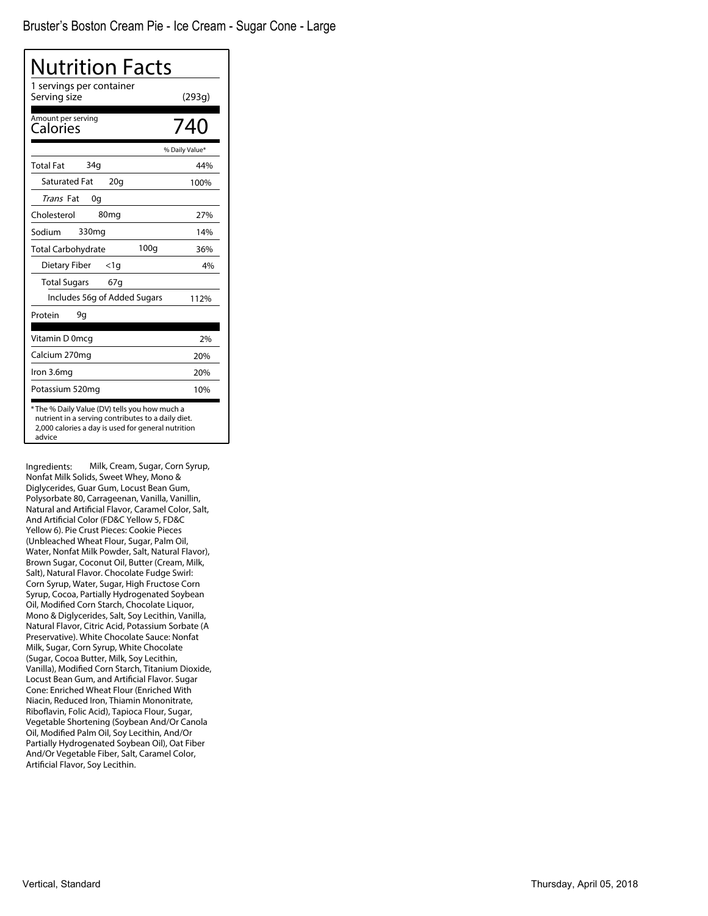| <b>Nutrition Facts</b>                                                                                                                                             |                |
|--------------------------------------------------------------------------------------------------------------------------------------------------------------------|----------------|
| 1 servings per container<br>Serving size                                                                                                                           | (293g)         |
| Amount per serving<br>Calories                                                                                                                                     | 740            |
|                                                                                                                                                                    | % Daily Value* |
| 34q<br><b>Total Fat</b>                                                                                                                                            | 44%            |
| <b>Saturated Fat</b><br>20q                                                                                                                                        | 100%           |
| Trans Fat<br>0q                                                                                                                                                    |                |
| Cholesterol<br>80 <sub>mg</sub>                                                                                                                                    | 27%            |
| 330mg<br>Sodium                                                                                                                                                    | 14%            |
| 100q<br><b>Total Carbohydrate</b>                                                                                                                                  | 36%            |
| Dietary Fiber<br><1g                                                                                                                                               | 4%             |
| <b>Total Sugars</b><br>67q                                                                                                                                         |                |
| Includes 56g of Added Sugars                                                                                                                                       | 112%           |
| Protein<br>9g                                                                                                                                                      |                |
| Vitamin D 0mcg                                                                                                                                                     | 2%             |
| Calcium 270mg                                                                                                                                                      | 20%            |
| Iron 3.6mg                                                                                                                                                         | 20%            |
| Potassium 520mg                                                                                                                                                    | 10%            |
| *The % Daily Value (DV) tells you how much a<br>nutrient in a serving contributes to a daily diet.<br>2,000 calories a day is used for general nutrition<br>advice |                |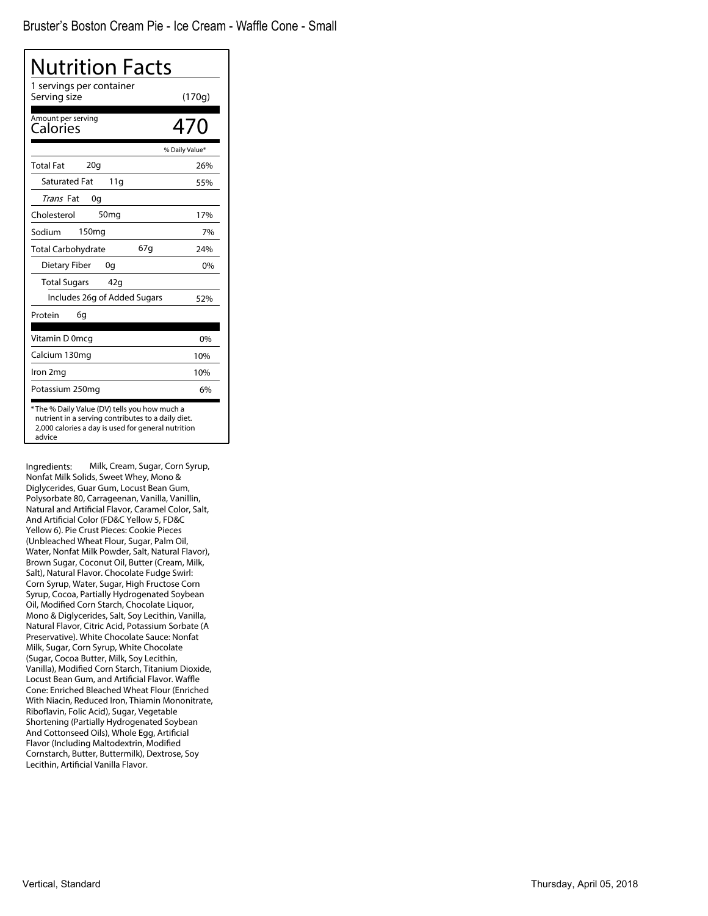| Nutrition Facts                                                                                                                                                     |                |
|---------------------------------------------------------------------------------------------------------------------------------------------------------------------|----------------|
| 1 servings per container<br>Serving size                                                                                                                            | (170g)         |
| Amount per serving<br>Calories                                                                                                                                      | 470            |
|                                                                                                                                                                     | % Daily Value* |
| 20q<br><b>Total Fat</b>                                                                                                                                             | 26%            |
| <b>Saturated Fat</b><br>11g                                                                                                                                         | 55%            |
| Trans Fat<br>0g                                                                                                                                                     |                |
| Cholesterol<br>50 <sub>mg</sub>                                                                                                                                     | 17%            |
| 150 <sub>mg</sub><br>Sodium                                                                                                                                         | 7%             |
| 67q<br><b>Total Carbohydrate</b>                                                                                                                                    | 24%            |
| <b>Dietary Fiber</b><br>0g                                                                                                                                          | 0%             |
| <b>Total Sugars</b><br>42q                                                                                                                                          |                |
| Includes 26g of Added Sugars                                                                                                                                        | 52%            |
| 6g<br>Protein                                                                                                                                                       |                |
| Vitamin D 0mcg                                                                                                                                                      | 0%             |
| Calcium 130mg                                                                                                                                                       | 10%            |
| Iron 2mg                                                                                                                                                            | 10%            |
| Potassium 250mg                                                                                                                                                     | 6%             |
| * The % Daily Value (DV) tells you how much a<br>nutrient in a serving contributes to a daily diet.<br>2,000 calories a day is used for general nutrition<br>advice |                |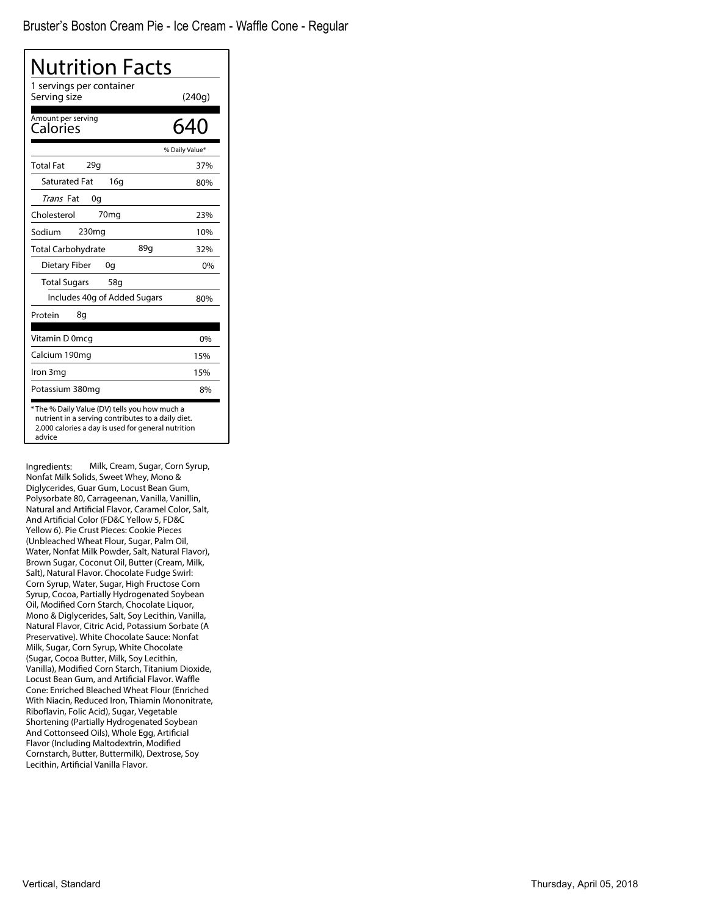| Nutrition Facts                                                                                                                                                    |                |
|--------------------------------------------------------------------------------------------------------------------------------------------------------------------|----------------|
| 1 servings per container<br>Serving size                                                                                                                           | (240g)         |
| Amount per serving<br>Calories                                                                                                                                     | 640            |
|                                                                                                                                                                    | % Daily Value* |
| 29q<br><b>Total Fat</b>                                                                                                                                            | 37%            |
| <b>Saturated Fat</b><br>16q                                                                                                                                        | 80%            |
| Trans Fat<br>0g                                                                                                                                                    |                |
| Cholesterol<br>70 <sub>mg</sub>                                                                                                                                    | 23%            |
| 230 <sub>mg</sub><br>Sodium                                                                                                                                        | 10%            |
| 89q<br><b>Total Carbohydrate</b>                                                                                                                                   | 32%            |
| Dietary Fiber<br>0g                                                                                                                                                | 0%             |
| <b>Total Sugars</b><br>58g                                                                                                                                         |                |
| Includes 40g of Added Sugars                                                                                                                                       | 80%            |
| Protein<br>8g                                                                                                                                                      |                |
| Vitamin D 0mcq                                                                                                                                                     | 0%             |
| Calcium 190mg                                                                                                                                                      | 15%            |
| Iron 3mg                                                                                                                                                           | 15%            |
| Potassium 380mg                                                                                                                                                    | 8%             |
| *The % Daily Value (DV) tells you how much a<br>nutrient in a serving contributes to a daily diet.<br>2,000 calories a day is used for general nutrition<br>advice |                |